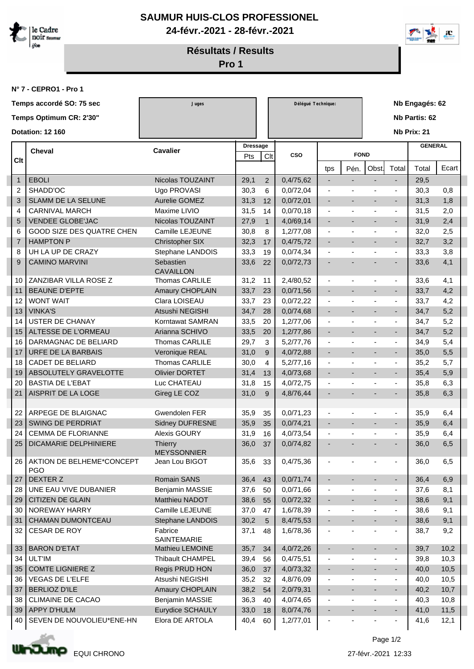

**SAUMUR HUIS-CLOS PROFESSIONEL 24-févr.-2021 - 28-févr.-2021**



**Résultats / Results**

**Pro 1**

**N° 7 - CEPRO1 - Pro 1**

|                         |                | Temps accordé SO: 75 sec                | Juges                                |                 |                | Délégué Technique: |                          |                          |                          |                          | Nb Engagés: 62 |       |  |  |
|-------------------------|----------------|-----------------------------------------|--------------------------------------|-----------------|----------------|--------------------|--------------------------|--------------------------|--------------------------|--------------------------|----------------|-------|--|--|
|                         |                | Temps Optimum CR: 2'30"                 |                                      |                 |                |                    |                          |                          |                          |                          | Nb Partis: 62  |       |  |  |
| <b>Dotation: 12 160</b> |                |                                         |                                      |                 |                |                    |                          |                          | Nb Prix: 21              |                          |                |       |  |  |
|                         |                |                                         |                                      |                 |                |                    |                          |                          |                          |                          |                |       |  |  |
|                         |                | Cheval                                  | <b>Cavalier</b>                      | <b>Dressage</b> |                | <b>CSO</b>         |                          | <b>FOND</b>              |                          |                          | <b>GENERAL</b> |       |  |  |
|                         | Clt            |                                         |                                      | Pts             | Clt            |                    |                          |                          |                          |                          |                |       |  |  |
|                         |                |                                         |                                      |                 |                |                    | tps                      | Pén.                     | Obst.                    | Total                    | Total          | Ecart |  |  |
|                         | $\mathbf{1}$   | <b>EBOLI</b>                            | Nicolas TOUZAINT                     | 29,1            | 2              | 0,4/75,62          | $\overline{\phantom{a}}$ | $\blacksquare$           | $\overline{\phantom{a}}$ | $\overline{\phantom{a}}$ | 29,5           |       |  |  |
|                         | 2              | SHADD'OC                                | Ugo PROVASI                          | 30,3            | 6              | 0,0/72,04          | $\overline{\phantom{a}}$ |                          |                          | $\overline{\phantom{a}}$ | 30,3           | 0,8   |  |  |
|                         | 3              | SLAMM DE LA SELUNE                      | Aurelie GOMEZ                        | 31,3            | 12             | 0,0/72,01          | $\overline{\phantom{a}}$ | $\overline{a}$           | $\overline{\phantom{a}}$ | $\sim$                   | 31,3           | 1,8   |  |  |
|                         | 4              | <b>CARNIVAL MARCH</b>                   | Maxime LIVIO                         | 31,5            | 14             | 0,0/70,18          |                          |                          |                          | $\blacksquare$           | 31,5           | 2,0   |  |  |
|                         | 5              | <b>VENDEE GLOBE'JAC</b>                 | Nicolas TOUZAINT                     | 27,9            | $\mathbf{1}$   | 4,0/69,14          |                          |                          |                          |                          | 31,9           | 2,4   |  |  |
|                         | 6              | GOOD SIZE DES QUATRE CHEN               | Camille LEJEUNE                      | 30,8            | 8              | 1,2/77,08          | $\overline{\phantom{a}}$ |                          |                          | $\overline{\phantom{a}}$ | 32,0           | 2,5   |  |  |
|                         | $\overline{7}$ | <b>HAMPTON P</b>                        | Christopher SIX                      | 32,3            | 17             | 0,4/75,72          | $\blacksquare$           | $\overline{\phantom{a}}$ | $\overline{\phantom{a}}$ | $\blacksquare$           | 32,7           | 3,2   |  |  |
|                         | 8              | UH LA UP DE CRAZY                       | Stephane LANDOIS                     | 33,3            | 19             | 0,0/74,34          | $\blacksquare$           |                          |                          | $\overline{\phantom{a}}$ | 33,3           | 3,8   |  |  |
|                         | 9              | <b>CAMINO MARVINI</b>                   | Sebastien<br><b>CAVAILLON</b>        | 33,6            | 22             | 0,0/72,73          | ٠                        |                          |                          | $\blacksquare$           | 33,6           | 4,1   |  |  |
|                         | 10             | ZANZIBAR VILLA ROSE Z                   | Thomas CARLILE                       | 31,2            | 11             | 2,4/80,52          | $\overline{\phantom{a}}$ | Ĭ.                       | $\blacksquare$           | $\sim$                   | 33,6           | 4,1   |  |  |
|                         | 11             | <b>BEAUNE D'EPTE</b>                    | Amaury CHOPLAIN                      | 33,7            | 23             | 0,0/71,56          | $\overline{\phantom{a}}$ | ٠                        |                          | $\overline{\phantom{a}}$ | 33,7           | 4,2   |  |  |
|                         | 12             | <b>WONT WAIT</b>                        | Clara LOISEAU                        | 33,7            | 23             | 0,0/72,22          | $\overline{\phantom{a}}$ | ÷,                       |                          | $\blacksquare$           | 33,7           | 4,2   |  |  |
|                         | 13             | <b>VINKA'S</b>                          | Atsushi NEGISHI                      | 34,7            | 28             | 0,0/74,68          | $\overline{\phantom{a}}$ | $\overline{a}$           | $\overline{\phantom{a}}$ | $\sim$                   | 34,7           | 5,2   |  |  |
|                         | 14             | <b>USTER DE CHANAY</b>                  | Korntawat SAMRAN                     | 33,5            | 20             | 1,2/77,06          | $\overline{\phantom{a}}$ | ä,                       |                          | $\blacksquare$           | 34,7           | 5,2   |  |  |
|                         | 15             | ALTESSE DE L'ORMEAU                     | Arianna SCHIVO                       | 33,5            | 20             | 1,2/77,86          | $\overline{\phantom{a}}$ |                          |                          |                          | 34,7           | 5,2   |  |  |
|                         | 16             | DARMAGNAC DE BELIARD                    | <b>Thomas CARLILE</b>                | 29,7            | 3              | 5,2/77,76          | $\overline{\phantom{a}}$ | $\overline{\phantom{a}}$ |                          | $\overline{\phantom{a}}$ | 34,9           | 5,4   |  |  |
|                         | 17             | URFE DE LA BARBAIS                      | Veronique REAL                       | 31,0            | 9              | 4,0/72,88          | $\overline{\phantom{a}}$ | ÷,                       | $\overline{\phantom{a}}$ | $\sim$                   | 35,0           | 5,5   |  |  |
|                         | 18             | <b>CADET DE BELIARD</b>                 | Thomas CARLILE                       | 30,0            | 4              | 5,2/77,16          | $\overline{\phantom{a}}$ |                          |                          | $\overline{\phantom{a}}$ | 35,2           | 5,7   |  |  |
|                         | 19             | ABSOLUTELY GRAVELOTTE                   | <b>Olivier DORTET</b>                | 31,4            | 13             | 4,0/73,68          | $\overline{\phantom{a}}$ | ä,                       | $\overline{\phantom{a}}$ | $\sim$                   | 35,4           | 5,9   |  |  |
|                         | 20             | <b>BASTIA DE L'EBAT</b>                 | Luc CHATEAU                          | 31,8            | 15             | 4,0/72,75          |                          |                          |                          | $\blacksquare$           | 35,8           | 6,3   |  |  |
|                         | 21             | AISPRIT DE LA LOGE                      | Gireg LE COZ                         | 31,0            | 9              | 4,8/76,44          |                          |                          |                          |                          | 35,8           | 6,3   |  |  |
|                         | 22             | ARPEGE DE BLAIGNAC                      | Gwendolen FER                        | 35,9            | 35             | 0,0/71,23          |                          |                          |                          | $\overline{\phantom{a}}$ | 35,9           | 6,4   |  |  |
|                         | 23             | SWING DE PERDRIAT                       | <b>Sidney DUFRESNE</b>               | 35,9            | 35             | 0,0/74,21          | $\blacksquare$           | ٠                        | $\overline{\phantom{a}}$ | $\blacksquare$           | 35,9           | 6,4   |  |  |
|                         | 24             | <b>CEMMA DE FLORIANNE</b>               | <b>Alexis GOURY</b>                  | 31,9            | 16             | 4,0/73,54          | $\overline{\phantom{a}}$ |                          | ٠                        | $\overline{\phantom{a}}$ | 35,9           | 6,4   |  |  |
|                         | 25             | <b>DICAMARIE DELPHINIERE</b>            | <b>Thierry</b><br><b>MEYSSONNIER</b> | 36,0            | 37             | 0,0/74,82          | ٠                        |                          |                          |                          | 36,0           | 6,5   |  |  |
|                         | 26             | AKTION DE BELHEME*CONCEPT<br><b>PGO</b> | Jean Lou BIGOT                       | 35,6            | 33             | 0,4/75,36          |                          |                          |                          |                          | 36,0           | 6,5   |  |  |
|                         | 27             | DEXTER Z                                | Romain SANS                          | 36,4            | 43             | 0,0/71,74          |                          | ٠                        |                          | $\blacksquare$           | 36,4           | 6,9   |  |  |
|                         | 28             | UNE EAU VIVE DUBANIER                   | Benjamin MASSIE                      | 37,6            | 50             | 0,0/71,66          | $\overline{\phantom{a}}$ |                          |                          | $\overline{\phantom{a}}$ | 37,6           | 8,1   |  |  |
|                         | 29             | CITIZEN DE GLAIN                        | Matthieu NADOT                       | 38,6            | 55             | 0,0/72,32          | $\blacksquare$           | $\overline{\phantom{a}}$ | ٠                        | $\blacksquare$           | 38,6           | 9,1   |  |  |
|                         | 30             | NOREWAY HARRY                           | Camille LEJEUNE                      | 37,0            | 47             | 1,6/78,39          | $\overline{\phantom{a}}$ |                          |                          | $\blacksquare$           | 38,6           | 9,1   |  |  |
|                         | 31             | CHAMAN DUMONTCEAU                       | Stephane LANDOIS                     | 30,2            | $\overline{5}$ | 8,4/75,53          | $\blacksquare$           | ٠                        | $\overline{\phantom{a}}$ | $\sim$                   | 38,6           | 9,1   |  |  |
|                         | 32             | CESAR DE ROY                            | Fabrice<br>SAINTEMARIE               | 37,1            | 48             | 1,6/78,36          |                          |                          |                          | $\overline{\phantom{a}}$ | 38,7           | 9,2   |  |  |
|                         | 33             | <b>BARON D'ETAT</b>                     | Mathieu LEMOINE                      | 35,7            | 34             | 4,0/72,26          | ٠                        | $\overline{\phantom{a}}$ | $\overline{\phantom{a}}$ | $\blacksquare$           | 39,7           | 10,2  |  |  |
|                         | 34             | <b>ULT'IM</b>                           | Thibault CHAMPEL                     | 39,4            | 56             | 0,4/75,51          | $\overline{\phantom{a}}$ |                          |                          | $\blacksquare$           | 39,8           | 10,3  |  |  |
|                         | 35             | <b>COMTE LIGNIERE Z</b>                 | Regis PRUD HON                       | 36,0            | 37             | 4,0/73,32          | $\blacksquare$           | ÷                        | $\overline{\phantom{a}}$ | $\sim$                   | 40,0           | 10,5  |  |  |
|                         | 36             | VEGAS DE L'ELFE                         | Atsushi NEGISHI                      | 35,2            | 32             | 4,8/76,09          | $\overline{\phantom{a}}$ |                          | $\overline{\phantom{a}}$ | $\overline{\phantom{a}}$ | 40,0           | 10,5  |  |  |
|                         | 37             | <b>BERLIOZ D'ILE</b>                    | Amaury CHOPLAIN                      | 38,2            | 54             | 2,0/79,31          | ٠                        |                          | ٠                        | ◆                        | 40,2           | 10,7  |  |  |
|                         | 38             | CLIMAINE DE CACAO                       | Benjamin MASSIE                      | 36,3            | 40             | 4,0/74,65          | $\blacksquare$           | ÷,                       | $\overline{\phantom{a}}$ | $\overline{\phantom{a}}$ | 40,3           | 10,8  |  |  |
|                         | 39             | <b>APPY D'HULM</b>                      | Eurydice SCHAULY                     | 33,0            | 18             | 8,0/74,76          | ٠                        |                          |                          | $\blacksquare$           | 41,0           | 11,5  |  |  |
|                         | 40             | SEVEN DE NOUVOLIEU*ENE-HN               | Elora DE ARTOLA                      | 40,4            | 60             | 1,2/77,01          | $\overline{\phantom{a}}$ |                          |                          | $\sim$                   | 41,6           | 12,1  |  |  |
|                         |                |                                         |                                      |                 |                |                    |                          |                          |                          |                          |                |       |  |  |



Page 1/2